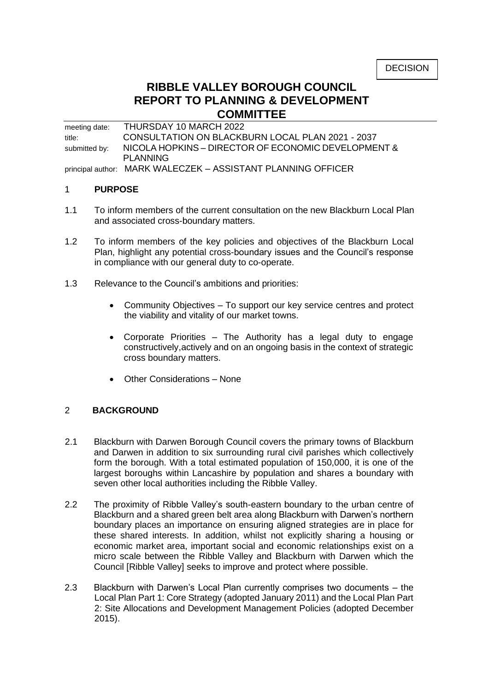# **RIBBLE VALLEY BOROUGH COUNCIL REPORT TO PLANNING & DEVELOPMENT COMMITTEE**

meeting date: THURSDAY 10 MARCH 2022 title: CONSULTATION ON BLACKBURN LOCAL PLAN 2021 - 2037 submitted by: NICOLA HOPKINS - DIRECTOR OF ECONOMIC DEVELOPMENT & PLANNING principal author: MARK WALECZEK – ASSISTANT PLANNING OFFICER

#### 1 **PURPOSE**

- 1.1 To inform members of the current consultation on the new Blackburn Local Plan and associated cross-boundary matters.
- 1.2 To inform members of the key policies and objectives of the Blackburn Local Plan, highlight any potential cross-boundary issues and the Council's response in compliance with our general duty to co-operate.
- 1.3 Relevance to the Council's ambitions and priorities:
	- Community Objectives To support our key service centres and protect the viability and vitality of our market towns.
	- Corporate Priorities The Authority has a legal duty to engage constructively,actively and on an ongoing basis in the context of strategic cross boundary matters.
	- Other Considerations None

#### 2 **BACKGROUND**

- 2.1 Blackburn with Darwen Borough Council covers the primary towns of Blackburn and Darwen in addition to six surrounding rural civil parishes which collectively form the borough. With a total estimated population of 150,000, it is one of the largest boroughs within Lancashire by population and shares a boundary with seven other local authorities including the Ribble Valley.
- 2.2 The proximity of Ribble Valley's south-eastern boundary to the urban centre of Blackburn and a shared green belt area along Blackburn with Darwen's northern boundary places an importance on ensuring aligned strategies are in place for these shared interests. In addition, whilst not explicitly sharing a housing or economic market area, important social and economic relationships exist on a micro scale between the Ribble Valley and Blackburn with Darwen which the Council [Ribble Valley] seeks to improve and protect where possible.
- 2.3 Blackburn with Darwen's Local Plan currently comprises two documents the Local Plan Part 1: Core Strategy (adopted January 2011) and the Local Plan Part 2: Site Allocations and Development Management Policies (adopted December 2015).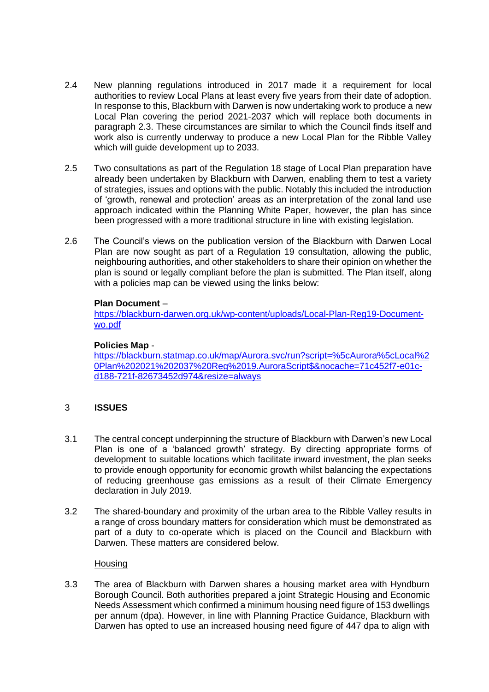- 2.4 New planning regulations introduced in 2017 made it a requirement for local authorities to review Local Plans at least every five years from their date of adoption. In response to this, Blackburn with Darwen is now undertaking work to produce a new Local Plan covering the period 2021-2037 which will replace both documents in paragraph 2.3. These circumstances are similar to which the Council finds itself and work also is currently underway to produce a new Local Plan for the Ribble Valley which will guide development up to 2033.
- 2.5 Two consultations as part of the Regulation 18 stage of Local Plan preparation have already been undertaken by Blackburn with Darwen, enabling them to test a variety of strategies, issues and options with the public. Notably this included the introduction of 'growth, renewal and protection' areas as an interpretation of the zonal land use approach indicated within the Planning White Paper, however, the plan has since been progressed with a more traditional structure in line with existing legislation.
- 2.6 The Council's views on the publication version of the Blackburn with Darwen Local Plan are now sought as part of a Regulation 19 consultation, allowing the public, neighbouring authorities, and other stakeholders to share their opinion on whether the plan is sound or legally compliant before the plan is submitted. The Plan itself, along with a policies map can be viewed using the links below:

### **Plan Document** –

[https://blackburn-darwen.org.uk/wp-content/uploads/Local-Plan-Reg19-Document](https://blackburn-darwen.org.uk/wp-content/uploads/Local-Plan-Reg19-Document-wo.pdf)[wo.pdf](https://blackburn-darwen.org.uk/wp-content/uploads/Local-Plan-Reg19-Document-wo.pdf)

#### **Policies Map** -

[https://blackburn.statmap.co.uk/map/Aurora.svc/run?script=%5cAurora%5cLocal%2](https://blackburn.statmap.co.uk/map/Aurora.svc/run?script=%5cAurora%5cLocal%20Plan%202021%202037%20Reg%2019.AuroraScript$&nocache=71c452f7-e01c-d188-721f-82673452d974&resize=always) [0Plan%202021%202037%20Reg%2019.AuroraScript\\$&nocache=71c452f7-e01c](https://blackburn.statmap.co.uk/map/Aurora.svc/run?script=%5cAurora%5cLocal%20Plan%202021%202037%20Reg%2019.AuroraScript$&nocache=71c452f7-e01c-d188-721f-82673452d974&resize=always)[d188-721f-82673452d974&resize=always](https://blackburn.statmap.co.uk/map/Aurora.svc/run?script=%5cAurora%5cLocal%20Plan%202021%202037%20Reg%2019.AuroraScript$&nocache=71c452f7-e01c-d188-721f-82673452d974&resize=always)

#### 3 **ISSUES**

- 3.1 The central concept underpinning the structure of Blackburn with Darwen's new Local Plan is one of a 'balanced growth' strategy. By directing appropriate forms of development to suitable locations which facilitate inward investment, the plan seeks to provide enough opportunity for economic growth whilst balancing the expectations of reducing greenhouse gas emissions as a result of their Climate Emergency declaration in July 2019.
- 3.2 The shared-boundary and proximity of the urban area to the Ribble Valley results in a range of cross boundary matters for consideration which must be demonstrated as part of a duty to co-operate which is placed on the Council and Blackburn with Darwen. These matters are considered below.

#### **Housing**

3.3 The area of Blackburn with Darwen shares a housing market area with Hyndburn Borough Council. Both authorities prepared a joint Strategic Housing and Economic Needs Assessment which confirmed a minimum housing need figure of 153 dwellings per annum (dpa). However, in line with Planning Practice Guidance, Blackburn with Darwen has opted to use an increased housing need figure of 447 dpa to align with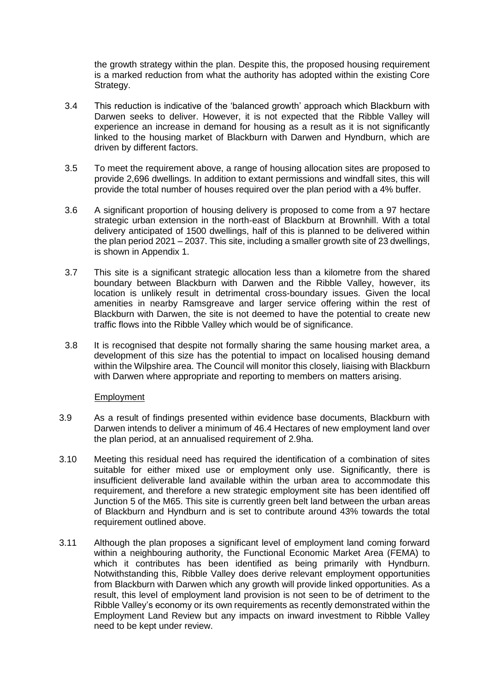the growth strategy within the plan. Despite this, the proposed housing requirement is a marked reduction from what the authority has adopted within the existing Core Strategy.

- 3.4 This reduction is indicative of the 'balanced growth' approach which Blackburn with Darwen seeks to deliver. However, it is not expected that the Ribble Valley will experience an increase in demand for housing as a result as it is not significantly linked to the housing market of Blackburn with Darwen and Hyndburn, which are driven by different factors.
- 3.5 To meet the requirement above, a range of housing allocation sites are proposed to provide 2,696 dwellings. In addition to extant permissions and windfall sites, this will provide the total number of houses required over the plan period with a 4% buffer.
- 3.6 A significant proportion of housing delivery is proposed to come from a 97 hectare strategic urban extension in the north-east of Blackburn at Brownhill. With a total delivery anticipated of 1500 dwellings, half of this is planned to be delivered within the plan period 2021 – 2037. This site, including a smaller growth site of 23 dwellings, is shown in Appendix 1.
- 3.7 This site is a significant strategic allocation less than a kilometre from the shared boundary between Blackburn with Darwen and the Ribble Valley, however, its location is unlikely result in detrimental cross-boundary issues. Given the local amenities in nearby Ramsgreave and larger service offering within the rest of Blackburn with Darwen, the site is not deemed to have the potential to create new traffic flows into the Ribble Valley which would be of significance.
- 3.8 It is recognised that despite not formally sharing the same housing market area, a development of this size has the potential to impact on localised housing demand within the Wilpshire area. The Council will monitor this closely, liaising with Blackburn with Darwen where appropriate and reporting to members on matters arising.

#### Employment

- 3.9 As a result of findings presented within evidence base documents, Blackburn with Darwen intends to deliver a minimum of 46.4 Hectares of new employment land over the plan period, at an annualised requirement of 2.9ha.
- 3.10 Meeting this residual need has required the identification of a combination of sites suitable for either mixed use or employment only use. Significantly, there is insufficient deliverable land available within the urban area to accommodate this requirement, and therefore a new strategic employment site has been identified off Junction 5 of the M65. This site is currently green belt land between the urban areas of Blackburn and Hyndburn and is set to contribute around 43% towards the total requirement outlined above.
- 3.11 Although the plan proposes a significant level of employment land coming forward within a neighbouring authority, the Functional Economic Market Area (FEMA) to which it contributes has been identified as being primarily with Hyndburn. Notwithstanding this, Ribble Valley does derive relevant employment opportunities from Blackburn with Darwen which any growth will provide linked opportunities. As a result, this level of employment land provision is not seen to be of detriment to the Ribble Valley's economy or its own requirements as recently demonstrated within the Employment Land Review but any impacts on inward investment to Ribble Valley need to be kept under review.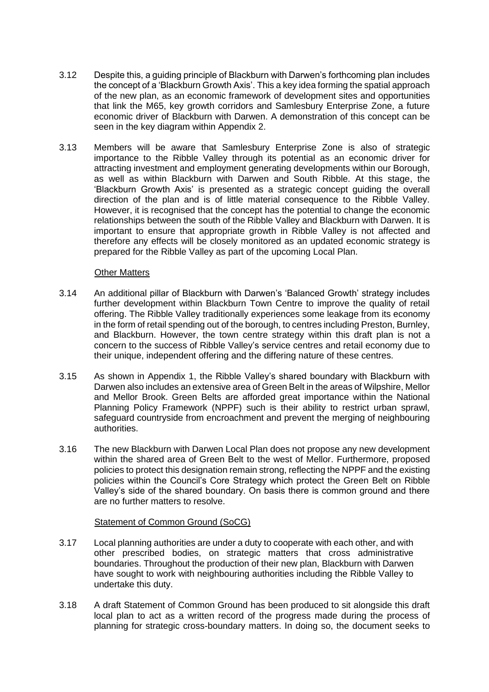- 3.12 Despite this, a guiding principle of Blackburn with Darwen's forthcoming plan includes the concept of a 'Blackburn Growth Axis'. This a key idea forming the spatial approach of the new plan, as an economic framework of development sites and opportunities that link the M65, key growth corridors and Samlesbury Enterprise Zone, a future economic driver of Blackburn with Darwen. A demonstration of this concept can be seen in the key diagram within Appendix 2.
- 3.13 Members will be aware that Samlesbury Enterprise Zone is also of strategic importance to the Ribble Valley through its potential as an economic driver for attracting investment and employment generating developments within our Borough, as well as within Blackburn with Darwen and South Ribble. At this stage, the 'Blackburn Growth Axis' is presented as a strategic concept guiding the overall direction of the plan and is of little material consequence to the Ribble Valley. However, it is recognised that the concept has the potential to change the economic relationships between the south of the Ribble Valley and Blackburn with Darwen. It is important to ensure that appropriate growth in Ribble Valley is not affected and therefore any effects will be closely monitored as an updated economic strategy is prepared for the Ribble Valley as part of the upcoming Local Plan.

#### **Other Matters**

- 3.14 An additional pillar of Blackburn with Darwen's 'Balanced Growth' strategy includes further development within Blackburn Town Centre to improve the quality of retail offering. The Ribble Valley traditionally experiences some leakage from its economy in the form of retail spending out of the borough, to centres including Preston, Burnley, and Blackburn. However, the town centre strategy within this draft plan is not a concern to the success of Ribble Valley's service centres and retail economy due to their unique, independent offering and the differing nature of these centres.
- 3.15 As shown in Appendix 1, the Ribble Valley's shared boundary with Blackburn with Darwen also includes an extensive area of Green Belt in the areas of Wilpshire, Mellor and Mellor Brook. Green Belts are afforded great importance within the National Planning Policy Framework (NPPF) such is their ability to restrict urban sprawl, safeguard countryside from encroachment and prevent the merging of neighbouring authorities.
- 3.16 The new Blackburn with Darwen Local Plan does not propose any new development within the shared area of Green Belt to the west of Mellor. Furthermore, proposed policies to protect this designation remain strong, reflecting the NPPF and the existing policies within the Council's Core Strategy which protect the Green Belt on Ribble Valley's side of the shared boundary. On basis there is common ground and there are no further matters to resolve.

#### Statement of Common Ground (SoCG)

- 3.17 Local planning authorities are under a duty to cooperate with each other, and with other prescribed bodies, on strategic matters that cross administrative boundaries. Throughout the production of their new plan, Blackburn with Darwen have sought to work with neighbouring authorities including the Ribble Valley to undertake this duty.
- 3.18 A draft Statement of Common Ground has been produced to sit alongside this draft local plan to act as a written record of the progress made during the process of planning for strategic cross-boundary matters. In doing so, the document seeks to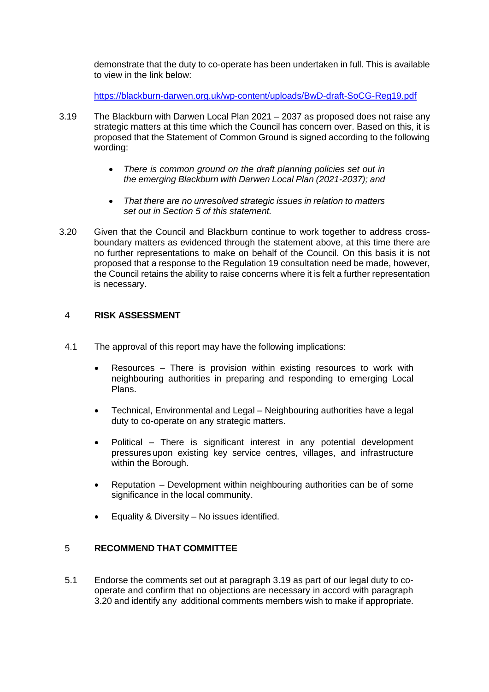demonstrate that the duty to co-operate has been undertaken in full. This is available to view in the link below:

<https://blackburn-darwen.org.uk/wp-content/uploads/BwD-draft-SoCG-Reg19.pdf>

- 3.19 The Blackburn with Darwen Local Plan 2021 2037 as proposed does not raise any strategic matters at this time which the Council has concern over. Based on this, it is proposed that the Statement of Common Ground is signed according to the following wording:
	- *There is common ground on the draft planning policies set out in the emerging Blackburn with Darwen Local Plan (2021-2037); and*
	- *That there are no unresolved strategic issues in relation to matters set out in Section 5 of this statement.*
- 3.20 Given that the Council and Blackburn continue to work together to address crossboundary matters as evidenced through the statement above, at this time there are no further representations to make on behalf of the Council. On this basis it is not proposed that a response to the Regulation 19 consultation need be made, however, the Council retains the ability to raise concerns where it is felt a further representation is necessary.

#### 4 **RISK ASSESSMENT**

- 4.1 The approval of this report may have the following implications:
	- Resources  $-$  There is provision within existing resources to work with neighbouring authorities in preparing and responding to emerging Local Plans.
	- Technical, Environmental and Legal Neighbouring authorities have a legal duty to co-operate on any strategic matters.
	- Political There is significant interest in any potential development pressures upon existing key service centres, villages, and infrastructure within the Borough.
	- Reputation Development within neighbouring authorities can be of some significance in the local community.
	- Equality & Diversity No issues identified.

# 5 **RECOMMEND THAT COMMITTEE**

5.1 Endorse the comments set out at paragraph 3.19 as part of our legal duty to cooperate and confirm that no objections are necessary in accord with paragraph 3.20 and identify any additional comments members wish to make if appropriate.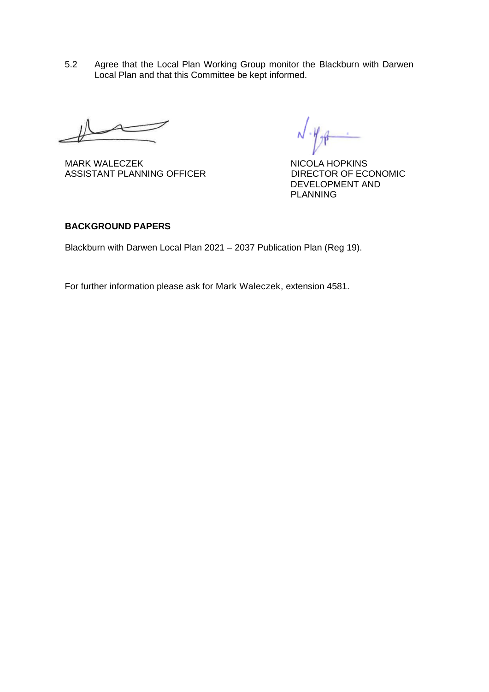5.2 Agree that the Local Plan Working Group monitor the Blackburn with Darwen Local Plan and that this Committee be kept informed.

MARK WALECZEK NICOLA HOPKINS<br>ASSISTANT PLANNING OFFICER DIRECTOR OF ECONOMIC ASSISTANT PLANNING OFFICER

DEVELOPMENT AND PLANNING

### **BACKGROUND PAPERS**

Blackburn with Darwen Local Plan 2021 – 2037 Publication Plan (Reg 19).

For further information please ask for Mark Waleczek, extension 4581.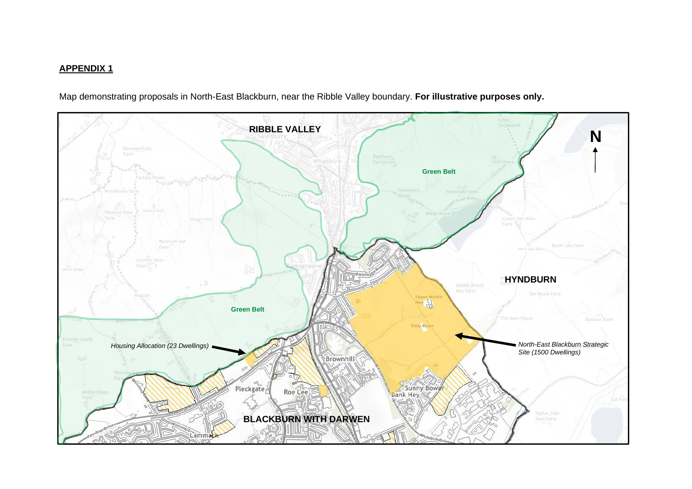## **APPENDIX 1**

Map demonstrating proposals in North-East Blackburn, near the Ribble Valley boundary. **For illustrative purposes only.**